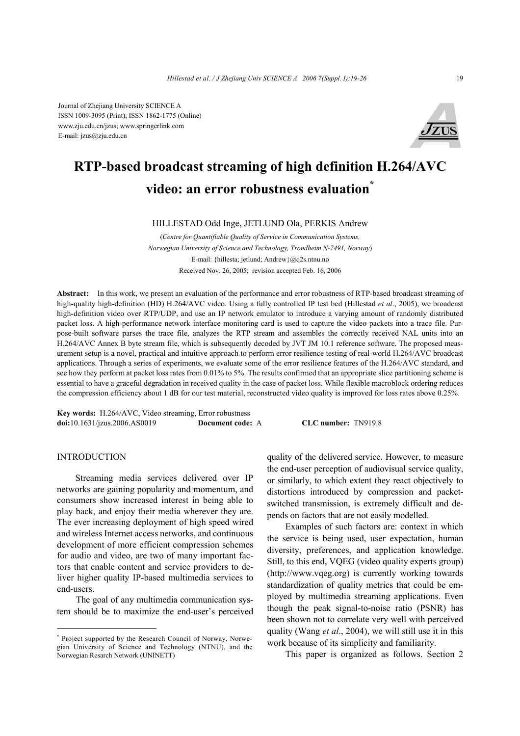Journal of Zhejiang University SCIENCE A ISSN 1009-3095 (Print); ISSN 1862-1775 (Online) www.zju.edu.cn/jzus; www.springerlink.com E-mail: jzus@zju.edu.cn



# **RTP-based broadcast streaming of high definition H.264/AVC video: an error robustness evaluation\***

#### HILLESTAD Odd Inge, JETLUND Ola, PERKIS Andrew

(*Centre for Quantifiable Quality of Service in Communication Systems, Norwegian University of Science and Technology, Trondheim N-7491, Norway*) E-mail: {hillesta; jetlund; Andrew}@q2s.ntnu.no Received Nov. 26, 2005; revision accepted Feb. 16, 2006

**Abstract:** In this work, we present an evaluation of the performance and error robustness of RTP-based broadcast streaming of high-quality high-definition (HD) H.264/AVC video. Using a fully controlled IP test bed (Hillestad *et al*., 2005), we broadcast high-definition video over RTP/UDP, and use an IP network emulator to introduce a varying amount of randomly distributed packet loss. A high-performance network interface monitoring card is used to capture the video packets into a trace file. Purpose-built software parses the trace file, analyzes the RTP stream and assembles the correctly received NAL units into an H.264/AVC Annex B byte stream file, which is subsequently decoded by JVT JM 10.1 reference software. The proposed measurement setup is a novel, practical and intuitive approach to perform error resilience testing of real-world H.264/AVC broadcast applications. Through a series of experiments, we evaluate some of the error resilience features of the H.264/AVC standard, and see how they perform at packet loss rates from 0.01% to 5%. The results confirmed that an appropriate slice partitioning scheme is essential to have a graceful degradation in received quality in the case of packet loss. While flexible macroblock ordering reduces the compression efficiency about 1 dB for our test material, reconstructed video quality is improved for loss rates above 0.25%.

**Key words:** H.264/AVC, Video streaming, Error robustness **doi:**10.1631/jzus.2006.AS0019 **Document code:** A **CLC number:** TN919.8

#### **INTRODUCTION**

Streaming media services delivered over IP networks are gaining popularity and momentum, and consumers show increased interest in being able to play back, and enjoy their media wherever they are. The ever increasing deployment of high speed wired and wireless Internet access networks, and continuous development of more efficient compression schemes for audio and video, are two of many important factors that enable content and service providers to deliver higher quality IP-based multimedia services to end-users.

The goal of any multimedia communication system should be to maximize the end-user's perceived

\* Project supported by the Research Council of Norway, Norwegian University of Science and Technology (NTNU), and the Norwegian Resarch Network (UNINETT)

quality of the delivered service. However, to measure the end-user perception of audiovisual service quality, or similarly, to which extent they react objectively to distortions introduced by compression and packetswitched transmission, is extremely difficult and depends on factors that are not easily modelled.

Examples of such factors are: context in which the service is being used, user expectation, human diversity, preferences, and application knowledge. Still, to this end, VQEG (video quality experts group) (http://www.vqeg.org) is currently working towards standardization of quality metrics that could be employed by multimedia streaming applications. Even though the peak signal-to-noise ratio (PSNR) has been shown not to correlate very well with perceived quality (Wang *et al*., 2004), we will still use it in this work because of its simplicity and familiarity.

This paper is organized as follows. Section 2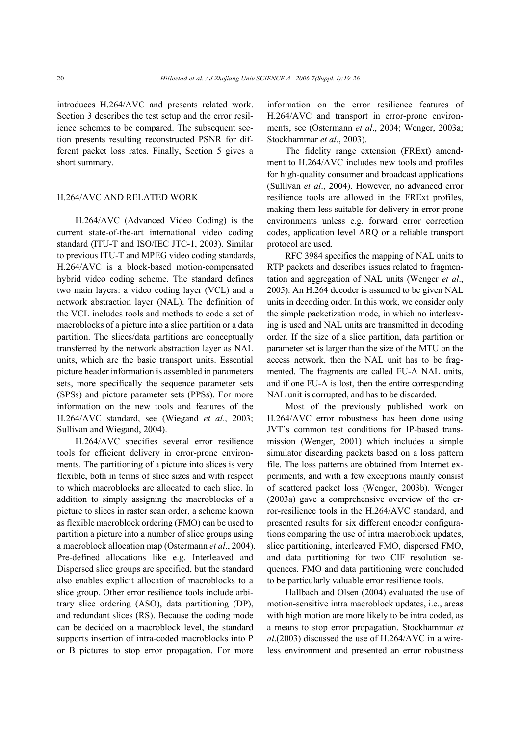introduces H.264/AVC and presents related work. Section 3 describes the test setup and the error resilience schemes to be compared. The subsequent section presents resulting reconstructed PSNR for different packet loss rates. Finally, Section 5 gives a short summary.

# H.264/AVC AND RELATED WORK

H.264/AVC (Advanced Video Coding) is the current state-of-the-art international video coding standard (ITU-T and ISO/IEC JTC-1, 2003). Similar to previous ITU-T and MPEG video coding standards, H.264/AVC is a block-based motion-compensated hybrid video coding scheme. The standard defines two main layers: a video coding layer (VCL) and a network abstraction layer (NAL). The definition of the VCL includes tools and methods to code a set of macroblocks of a picture into a slice partition or a data partition. The slices/data partitions are conceptually transferred by the network abstraction layer as NAL units, which are the basic transport units. Essential picture header information is assembled in parameters sets, more specifically the sequence parameter sets (SPSs) and picture parameter sets (PPSs). For more information on the new tools and features of the H.264/AVC standard, see (Wiegand *et al*., 2003; Sullivan and Wiegand, 2004).

H.264/AVC specifies several error resilience tools for efficient delivery in error-prone environments. The partitioning of a picture into slices is very flexible, both in terms of slice sizes and with respect to which macroblocks are allocated to each slice. In addition to simply assigning the macroblocks of a picture to slices in raster scan order, a scheme known as flexible macroblock ordering (FMO) can be used to partition a picture into a number of slice groups using a macroblock allocation map (Ostermann *et al*., 2004). Pre-defined allocations like e.g. Interleaved and Dispersed slice groups are specified, but the standard also enables explicit allocation of macroblocks to a slice group. Other error resilience tools include arbitrary slice ordering (ASO), data partitioning (DP), and redundant slices (RS). Because the coding mode can be decided on a macroblock level, the standard supports insertion of intra-coded macroblocks into P or B pictures to stop error propagation. For more

information on the error resilience features of H.264/AVC and transport in error-prone environments, see (Ostermann *et al*., 2004; Wenger, 2003a; Stockhammar *et al*., 2003).

The fidelity range extension (FRExt) amendment to H.264/AVC includes new tools and profiles for high-quality consumer and broadcast applications (Sullivan *et al*., 2004). However, no advanced error resilience tools are allowed in the FRExt profiles, making them less suitable for delivery in error-prone environments unless e.g. forward error correction codes, application level ARQ or a reliable transport protocol are used.

RFC 3984 specifies the mapping of NAL units to RTP packets and describes issues related to fragmentation and aggregation of NAL units (Wenger *et al*., 2005). An H.264 decoder is assumed to be given NAL units in decoding order. In this work, we consider only the simple packetization mode, in which no interleaving is used and NAL units are transmitted in decoding order. If the size of a slice partition, data partition or parameter set is larger than the size of the MTU on the access network, then the NAL unit has to be fragmented. The fragments are called FU-A NAL units, and if one FU-A is lost, then the entire corresponding NAL unit is corrupted, and has to be discarded.

Most of the previously published work on H.264/AVC error robustness has been done using JVT's common test conditions for IP-based transmission (Wenger, 2001) which includes a simple simulator discarding packets based on a loss pattern file. The loss patterns are obtained from Internet experiments, and with a few exceptions mainly consist of scattered packet loss (Wenger, 2003b). Wenger (2003a) gave a comprehensive overview of the error-resilience tools in the H.264/AVC standard, and presented results for six different encoder configurations comparing the use of intra macroblock updates, slice partitioning, interleaved FMO, dispersed FMO, and data partitioning for two CIF resolution sequences. FMO and data partitioning were concluded to be particularly valuable error resilience tools.

Hallbach and Olsen (2004) evaluated the use of motion-sensitive intra macroblock updates, i.e., areas with high motion are more likely to be intra coded, as a means to stop error propagation. Stockhammar *et al*.(2003) discussed the use of H.264/AVC in a wireless environment and presented an error robustness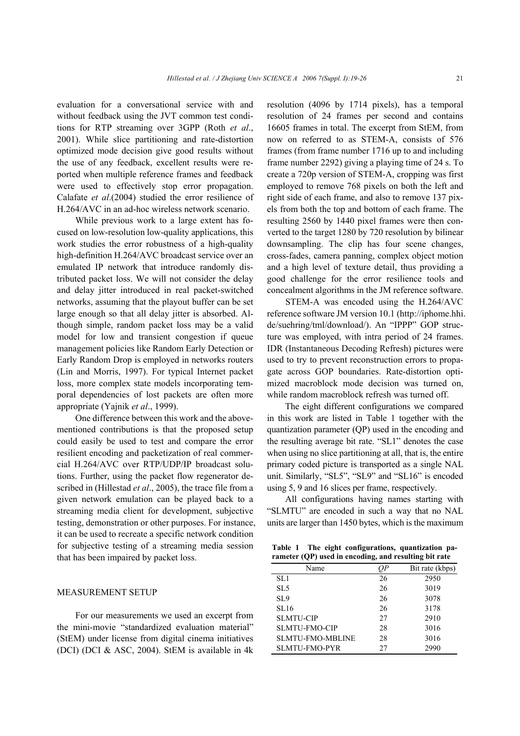evaluation for a conversational service with and without feedback using the JVT common test conditions for RTP streaming over 3GPP (Roth *et al*., 2001). While slice partitioning and rate-distortion optimized mode decision give good results without the use of any feedback, excellent results were reported when multiple reference frames and feedback were used to effectively stop error propagation. Calafate *et al*.(2004) studied the error resilience of H.264/AVC in an ad-hoc wireless network scenario.

While previous work to a large extent has focused on low-resolution low-quality applications, this work studies the error robustness of a high-quality high-definition H.264/AVC broadcast service over an emulated IP network that introduce randomly distributed packet loss. We will not consider the delay and delay jitter introduced in real packet-switched networks, assuming that the playout buffer can be set large enough so that all delay jitter is absorbed. Although simple, random packet loss may be a valid model for low and transient congestion if queue management policies like Random Early Detection or Early Random Drop is employed in networks routers (Lin and Morris, 1997). For typical Internet packet loss, more complex state models incorporating temporal dependencies of lost packets are often more appropriate (Yajnik *et al*., 1999).

One difference between this work and the abovementioned contributions is that the proposed setup could easily be used to test and compare the error resilient encoding and packetization of real commercial H.264/AVC over RTP/UDP/IP broadcast solutions. Further, using the packet flow regenerator described in (Hillestad *et al*., 2005), the trace file from a given network emulation can be played back to a streaming media client for development, subjective testing, demonstration or other purposes. For instance, it can be used to recreate a specific network condition for subjective testing of a streaming media session that has been impaired by packet loss.

### MEASUREMENT SETUP

For our measurements we used an excerpt from the mini-movie "standardized evaluation material" (StEM) under license from digital cinema initiatives (DCI) (DCI & ASC, 2004). StEM is available in 4k

resolution (4096 by 1714 pixels), has a temporal resolution of 24 frames per second and contains 16605 frames in total. The excerpt from StEM, from now on referred to as STEM-A, consists of 576 frames (from frame number 1716 up to and including frame number 2292) giving a playing time of 24 s. To create a 720p version of STEM-A, cropping was first employed to remove 768 pixels on both the left and right side of each frame, and also to remove 137 pixels from both the top and bottom of each frame. The resulting 2560 by 1440 pixel frames were then converted to the target 1280 by 720 resolution by bilinear downsampling. The clip has four scene changes, cross-fades, camera panning, complex object motion and a high level of texture detail, thus providing a good challenge for the error resilience tools and concealment algorithms in the JM reference software.

STEM-A was encoded using the H.264/AVC reference software JM version 10.1 (http://iphome.hhi. de/suehring/tml/download/). An "IPPP" GOP structure was employed, with intra period of 24 frames. IDR (Instantaneous Decoding Refresh) pictures were used to try to prevent reconstruction errors to propagate across GOP boundaries. Rate-distortion optimized macroblock mode decision was turned on, while random macroblock refresh was turned off.

The eight different configurations we compared in this work are listed in Table 1 together with the quantization parameter (QP) used in the encoding and the resulting average bit rate. "SL1" denotes the case when using no slice partitioning at all, that is, the entire primary coded picture is transported as a single NAL unit. Similarly, "SL5", "SL9" and "SL16" is encoded using 5, 9 and 16 slices per frame, respectively.

All configurations having names starting with "SLMTU" are encoded in such a way that no NAL units are larger than 1450 bytes, which is the maximum

| Table 1 | The eight configurations, quantization pa-            |  |
|---------|-------------------------------------------------------|--|
|         | rameter (QP) used in encoding, and resulting bit rate |  |

| Name                    |    | Bit rate (kbps) |
|-------------------------|----|-----------------|
| SL <sub>1</sub>         | 26 | 2950            |
| SL <sub>5</sub>         | 26 | 3019            |
| SL <sub>9</sub>         | 26 | 3078            |
| SL16                    | 26 | 3178            |
| <b>SLMTU-CIP</b>        | 27 | 2910            |
| <b>SLMTU-FMO-CIP</b>    | 28 | 3016            |
| <b>SLMTU-FMO-MBLINE</b> | 28 | 3016            |
| <b>SLMTU-FMO-PYR</b>    | 27 | 2990            |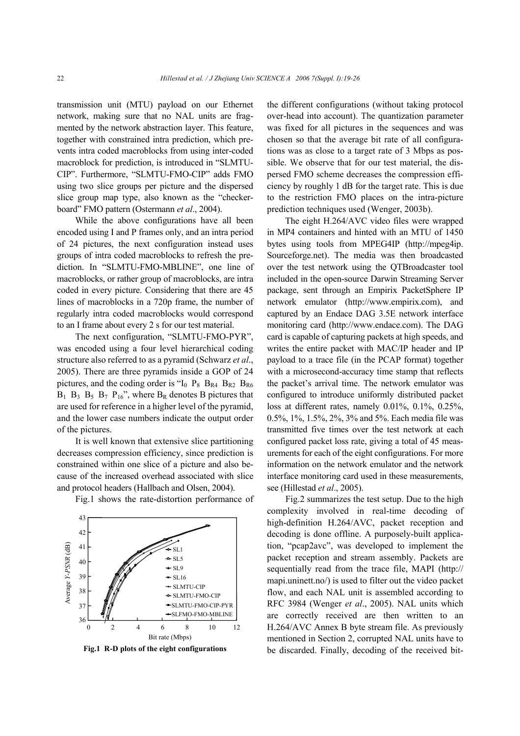transmission unit (MTU) payload on our Ethernet network, making sure that no NAL units are fragmented by the network abstraction layer. This feature, together with constrained intra prediction, which prevents intra coded macroblocks from using inter-coded macroblock for prediction, is introduced in "SLMTU-CIP". Furthermore, "SLMTU-FMO-CIP" adds FMO using two slice groups per picture and the dispersed slice group map type, also known as the "checkerboard" FMO pattern (Ostermann *et al*., 2004).

While the above configurations have all been encoded using I and P frames only, and an intra period of 24 pictures, the next configuration instead uses groups of intra coded macroblocks to refresh the prediction. In "SLMTU-FMO-MBLINE", one line of macroblocks, or rather group of macroblocks, are intra coded in every picture. Considering that there are 45 lines of macroblocks in a 720p frame, the number of regularly intra coded macroblocks would correspond to an I frame about every 2 s for our test material.

The next configuration, "SLMTU-FMO-PYR", was encoded using a four level hierarchical coding structure also referred to as a pyramid (Schwarz *et al*., 2005). There are three pyramids inside a GOP of 24 pictures, and the coding order is " $I_0$   $P_8$   $B_{R4}$   $B_{R2}$   $B_{R6}$  $B_1$   $B_3$   $B_5$   $B_7$   $P_{16}$ ", where  $B_R$  denotes B pictures that are used for reference in a higher level of the pyramid, and the lower case numbers indicate the output order of the pictures.

It is well known that extensive slice partitioning decreases compression efficiency, since prediction is constrained within one slice of a picture and also because of the increased overhead associated with slice and protocol headers (Hallbach and Olsen, 2004).

Fig.1 shows the rate-distortion performance of





the different configurations (without taking protocol over-head into account). The quantization parameter was fixed for all pictures in the sequences and was chosen so that the average bit rate of all configurations was as close to a target rate of 3 Mbps as possible. We observe that for our test material, the dispersed FMO scheme decreases the compression efficiency by roughly 1 dB for the target rate. This is due to the restriction FMO places on the intra-picture prediction techniques used (Wenger, 2003b).

The eight H.264/AVC video files were wrapped in MP4 containers and hinted with an MTU of 1450 bytes using tools from MPEG4IP (http://mpeg4ip. Sourceforge.net). The media was then broadcasted over the test network using the QTBroadcaster tool included in the open-source Darwin Streaming Server package, sent through an Empirix PacketSphere IP network emulator (http://www.empirix.com), and captured by an Endace DAG 3.5E network interface monitoring card (http://www.endace.com). The DAG card is capable of capturing packets at high speeds, and writes the entire packet with MAC/IP header and IP payload to a trace file (in the PCAP format) together with a microsecond-accuracy time stamp that reflects the packet's arrival time. The network emulator was configured to introduce uniformly distributed packet loss at different rates, namely 0.01%, 0.1%, 0.25%, 0.5%, 1%, 1.5%, 2%, 3% and 5%. Each media file was transmitted five times over the test network at each configured packet loss rate, giving a total of 45 measurements for each of the eight configurations. For more information on the network emulator and the network interface monitoring card used in these measurements, see (Hillestad *et al*., 2005).

Fig.2 summarizes the test setup. Due to the high complexity involved in real-time decoding of high-definition H.264/AVC, packet reception and decoding is done offline. A purposely-built application, "pcap2avc", was developed to implement the packet reception and stream assembly. Packets are sequentially read from the trace file, MAPI (http:// mapi.uninett.no/) is used to filter out the video packet flow, and each NAL unit is assembled according to RFC 3984 (Wenger *et al*., 2005). NAL units which are correctly received are then written to an H.264/AVC Annex B byte stream file. As previously mentioned in Section 2, corrupted NAL units have to **Fig.1 R-D plots of the eight configurations** be discarded. Finally, decoding of the received bit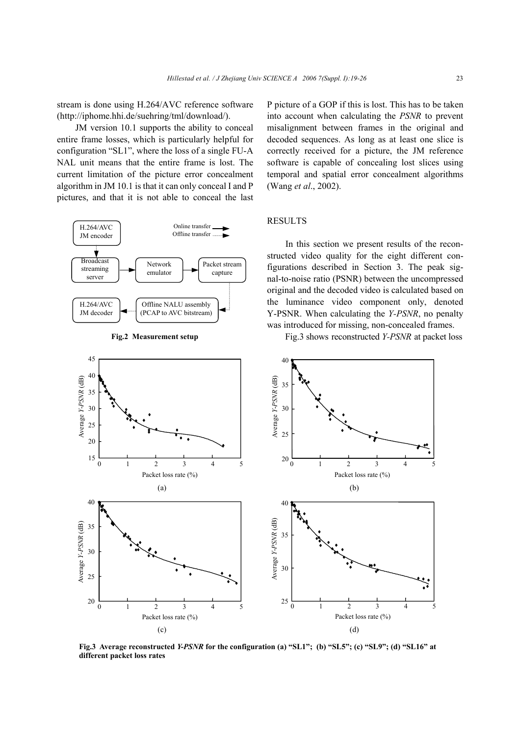stream is done using H.264/AVC reference software (http://iphome.hhi.de/suehring/tml/download/).

JM version 10.1 supports the ability to conceal entire frame losses, which is particularly helpful for configuration "SL1", where the loss of a single FU-A NAL unit means that the entire frame is lost. The current limitation of the picture error concealment algorithm in JM 10.1 is that it can only conceal I and P pictures, and that it is not able to conceal the last





P picture of a GOP if this is lost. This has to be taken into account when calculating the *PSNR* to prevent misalignment between frames in the original and decoded sequences. As long as at least one slice is correctly received for a picture, the JM reference software is capable of concealing lost slices using temporal and spatial error concealment algorithms (Wang *et al*., 2002).

# **RESULTS**

In this section we present results of the reconstructed video quality for the eight different configurations described in Section 3. The peak signal-to-noise ratio (PSNR) between the uncompressed original and the decoded video is calculated based on the luminance video component only, denoted Y-PSNR. When calculating the *Y-PSNR*, no penalty was introduced for missing, non-concealed frames.



Fig.3 shows reconstructed *Y-PSNR* at packet loss

**Fig.3 Average reconstructed** *Y-PSNR* **for the configuration (a) "SL1"; (b) "SL5"; (c) "SL9"; (d) "SL16" at different packet loss rates**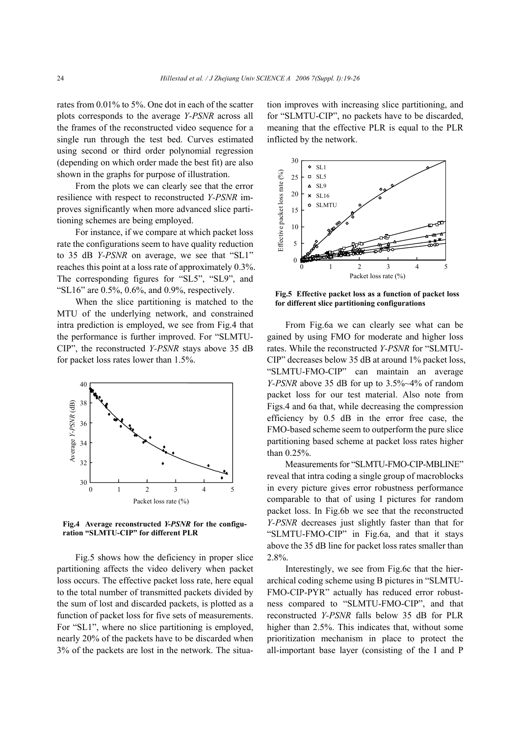rates from 0.01% to 5%. One dot in each of the scatter plots corresponds to the average *Y-PSNR* across all the frames of the reconstructed video sequence for a single run through the test bed. Curves estimated using second or third order polynomial regression (depending on which order made the best fit) are also shown in the graphs for purpose of illustration.

From the plots we can clearly see that the error resilience with respect to reconstructed *Y-PSNR* improves significantly when more advanced slice partitioning schemes are being employed.

For instance, if we compare at which packet loss rate the configurations seem to have quality reduction to 35 dB *Y-PSNR* on average, we see that "SL1" reaches this point at a loss rate of approximately 0.3%. The corresponding figures for "SL5", "SL9", and "SL16" are  $0.5\%$ ,  $0.6\%$ , and  $0.9\%$ , respectively.

When the slice partitioning is matched to the MTU of the underlying network, and constrained intra prediction is employed, we see from Fig.4 that the performance is further improved. For "SLMTU-CIP", the reconstructed *Y-PSNR* stays above 35 dB for packet loss rates lower than 1.5%.



**Fig.4 Average reconstructed** *Y-PSNR* **for the configuration "SLMTU-CIP" for different PLR** 

Fig.5 shows how the deficiency in proper slice partitioning affects the video delivery when packet loss occurs. The effective packet loss rate, here equal to the total number of transmitted packets divided by the sum of lost and discarded packets, is plotted as a function of packet loss for five sets of measurements. For "SL1", where no slice partitioning is employed, nearly 20% of the packets have to be discarded when 3% of the packets are lost in the network. The situation improves with increasing slice partitioning, and for "SLMTU-CIP", no packets have to be discarded, meaning that the effective PLR is equal to the PLR inflicted by the network.



**Fig.5 Effective packet loss as a function of packet loss for different slice partitioning configurations** 

From Fig.6a we can clearly see what can be gained by using FMO for moderate and higher loss rates. While the reconstructed *Y-PSNR* for "SLMTU-CIP" decreases below 35 dB at around 1% packet loss, "SLMTU-FMO-CIP" can maintain an average *Y-PSNR* above 35 dB for up to 3.5%~4% of random packet loss for our test material. Also note from Figs.4 and 6a that, while decreasing the compression efficiency by 0.5 dB in the error free case, the FMO-based scheme seem to outperform the pure slice partitioning based scheme at packet loss rates higher than 0.25%.

Measurements for "SLMTU-FMO-CIP-MBLINE" reveal that intra coding a single group of macroblocks in every picture gives error robustness performance comparable to that of using I pictures for random packet loss. In Fig.6b we see that the reconstructed *Y-PSNR* decreases just slightly faster than that for "SLMTU-FMO-CIP" in Fig.6a, and that it stays above the 35 dB line for packet loss rates smaller than 2.8%.

Interestingly, we see from Fig.6c that the hierarchical coding scheme using B pictures in "SLMTU-FMO-CIP-PYR" actually has reduced error robustness compared to "SLMTU-FMO-CIP", and that reconstructed *Y-PSNR* falls below 35 dB for PLR higher than 2.5%. This indicates that, without some prioritization mechanism in place to protect the all-important base layer (consisting of the I and P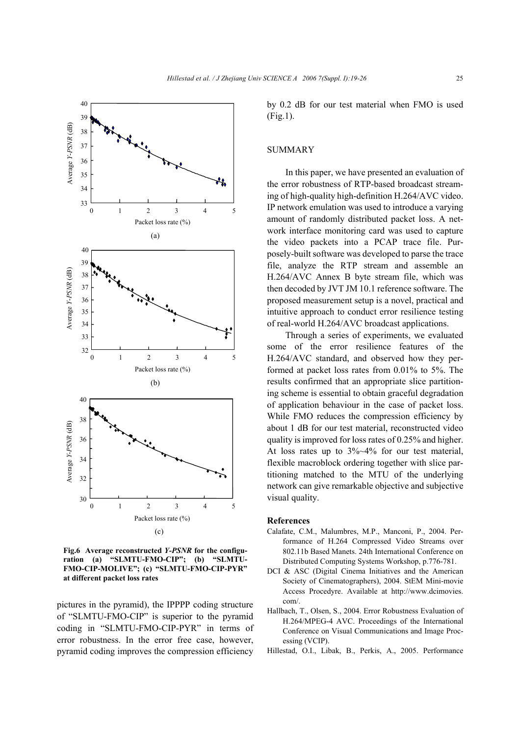

**Fig.6 Average reconstructed** *Y-PSNR* **for the configuration (a) "SLMTU-FMO-CIP"; (b) "SLMTU-FMO-CIP-MOLIVE"; (c) "SLMTU-FMO-CIP-PYR" at different packet loss rates** 

pictures in the pyramid), the IPPPP coding structure of "SLMTU-FMO-CIP" is superior to the pyramid coding in "SLMTU-FMO-CIP-PYR" in terms of error robustness. In the error free case, however, pyramid coding improves the compression efficiency by 0.2 dB for our test material when FMO is used (Fig.1).

#### **SUMMARY**

In this paper, we have presented an evaluation of the error robustness of RTP-based broadcast streaming of high-quality high-definition H.264/AVC video. IP network emulation was used to introduce a varying amount of randomly distributed packet loss. A network interface monitoring card was used to capture the video packets into a PCAP trace file. Purposely-built software was developed to parse the trace file, analyze the RTP stream and assemble an H.264/AVC Annex B byte stream file, which was then decoded by JVT JM 10.1 reference software. The proposed measurement setup is a novel, practical and intuitive approach to conduct error resilience testing of real-world H.264/AVC broadcast applications.

Through a series of experiments, we evaluated some of the error resilience features of the H.264/AVC standard, and observed how they performed at packet loss rates from 0.01% to 5%. The results confirmed that an appropriate slice partitioning scheme is essential to obtain graceful degradation of application behaviour in the case of packet loss. While FMO reduces the compression efficiency by about 1 dB for our test material, reconstructed video quality is improved for loss rates of 0.25% and higher. At loss rates up to  $3\%~4\%$  for our test material, flexible macroblock ordering together with slice partitioning matched to the MTU of the underlying network can give remarkable objective and subjective visual quality.

#### **References**

- Calafate, C.M., Malumbres, M.P., Manconi, P., 2004. Performance of H.264 Compressed Video Streams over 802.11b Based Manets. 24th International Conference on Distributed Computing Systems Workshop, p.776-781.
- DCI & ASC (Digital Cinema Initiatives and the American Society of Cinematographers), 2004. StEM Mini-movie Access Procedyre. Available at http://www.dcimovies. com/.
- Hallbach, T., Olsen, S., 2004. Error Robustness Evaluation of H.264/MPEG-4 AVC. Proceedings of the International Conference on Visual Communications and Image Processing (VCIP).
- Hillestad, O.I., Libak, B., Perkis, A., 2005. Performance